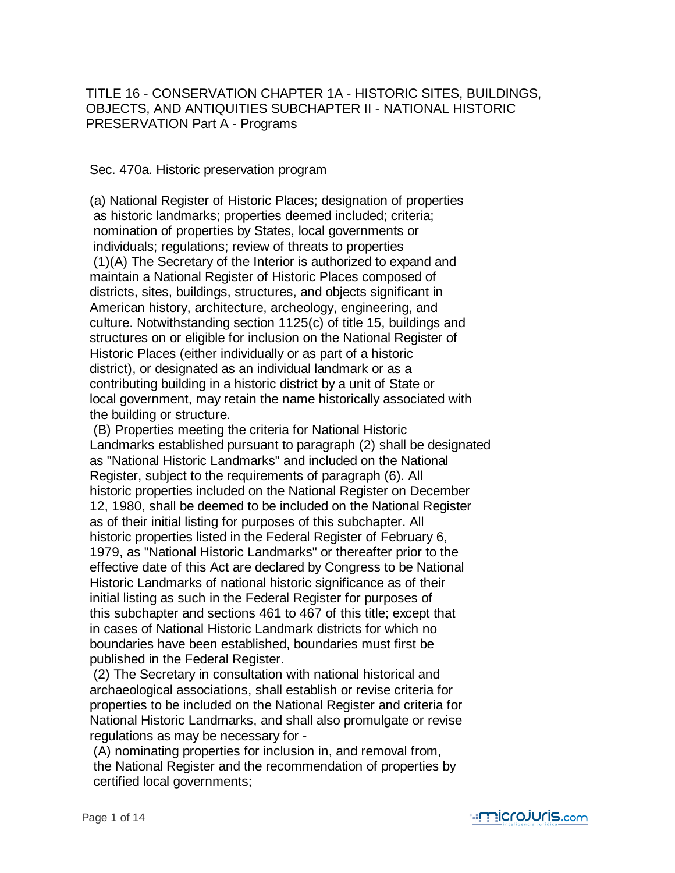TITLE 16 - CONSERVATION CHAPTER 1A - HISTORIC SITES, BUILDINGS, OBJECTS, AND ANTIQUITIES SUBCHAPTER II - NATIONAL HISTORIC PRESERVATION Part A - Programs

Sec. 470a. Historic preservation program

 (a) National Register of Historic Places; designation of properties as historic landmarks; properties deemed included; criteria; nomination of properties by States, local governments or individuals; regulations; review of threats to properties (1)(A) The Secretary of the Interior is authorized to expand and maintain a National Register of Historic Places composed of districts, sites, buildings, structures, and objects significant in American history, architecture, archeology, engineering, and culture. Notwithstanding section 1125(c) of title 15, buildings and structures on or eligible for inclusion on the National Register of Historic Places (either individually or as part of a historic district), or designated as an individual landmark or as a contributing building in a historic district by a unit of State or local government, may retain the name historically associated with the building or structure.

 (B) Properties meeting the criteria for National Historic Landmarks established pursuant to paragraph (2) shall be designated as "National Historic Landmarks" and included on the National Register, subject to the requirements of paragraph (6). All historic properties included on the National Register on December 12, 1980, shall be deemed to be included on the National Register as of their initial listing for purposes of this subchapter. All historic properties listed in the Federal Register of February 6, 1979, as "National Historic Landmarks" or thereafter prior to the effective date of this Act are declared by Congress to be National Historic Landmarks of national historic significance as of their initial listing as such in the Federal Register for purposes of this subchapter and sections 461 to 467 of this title; except that in cases of National Historic Landmark districts for which no boundaries have been established, boundaries must first be published in the Federal Register.

 (2) The Secretary in consultation with national historical and archaeological associations, shall establish or revise criteria for properties to be included on the National Register and criteria for National Historic Landmarks, and shall also promulgate or revise regulations as may be necessary for -

 (A) nominating properties for inclusion in, and removal from, the National Register and the recommendation of properties by certified local governments;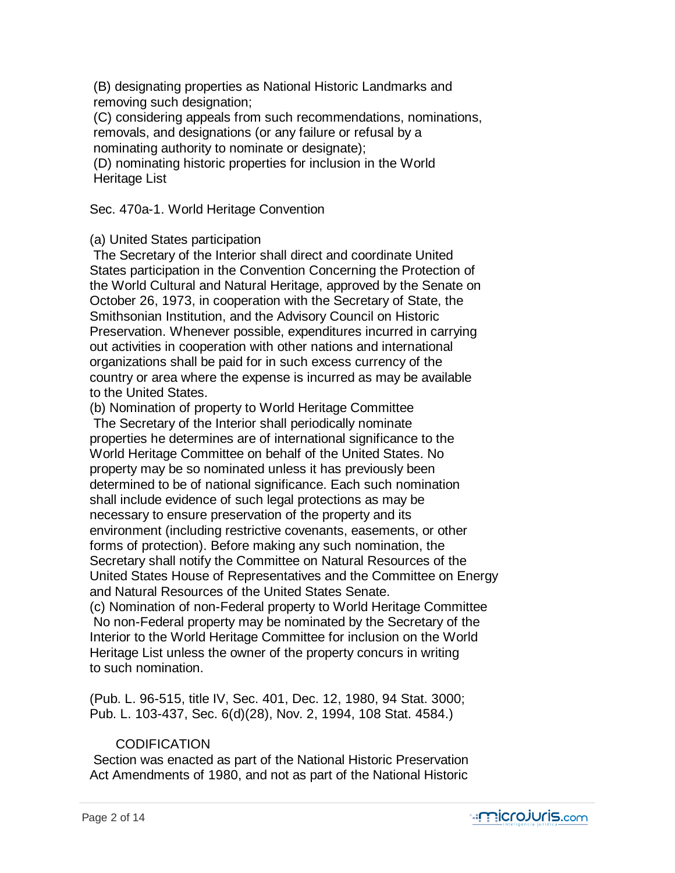(B) designating properties as National Historic Landmarks and removing such designation;

 (C) considering appeals from such recommendations, nominations, removals, and designations (or any failure or refusal by a nominating authority to nominate or designate);

 (D) nominating historic properties for inclusion in the World Heritage List

Sec. 470a-1. World Heritage Convention

# (a) United States participation

 The Secretary of the Interior shall direct and coordinate United States participation in the Convention Concerning the Protection of the World Cultural and Natural Heritage, approved by the Senate on October 26, 1973, in cooperation with the Secretary of State, the Smithsonian Institution, and the Advisory Council on Historic Preservation. Whenever possible, expenditures incurred in carrying out activities in cooperation with other nations and international organizations shall be paid for in such excess currency of the country or area where the expense is incurred as may be available to the United States.

(b) Nomination of property to World Heritage Committee

 The Secretary of the Interior shall periodically nominate properties he determines are of international significance to the World Heritage Committee on behalf of the United States. No property may be so nominated unless it has previously been determined to be of national significance. Each such nomination shall include evidence of such legal protections as may be necessary to ensure preservation of the property and its environment (including restrictive covenants, easements, or other forms of protection). Before making any such nomination, the Secretary shall notify the Committee on Natural Resources of the United States House of Representatives and the Committee on Energy and Natural Resources of the United States Senate.

 (c) Nomination of non-Federal property to World Heritage Committee No non-Federal property may be nominated by the Secretary of the Interior to the World Heritage Committee for inclusion on the World Heritage List unless the owner of the property concurs in writing to such nomination.

 (Pub. L. 96-515, title IV, Sec. 401, Dec. 12, 1980, 94 Stat. 3000; Pub. L. 103-437, Sec. 6(d)(28), Nov. 2, 1994, 108 Stat. 4584.)

# **CODIFICATION**

 Section was enacted as part of the National Historic Preservation Act Amendments of 1980, and not as part of the National Historic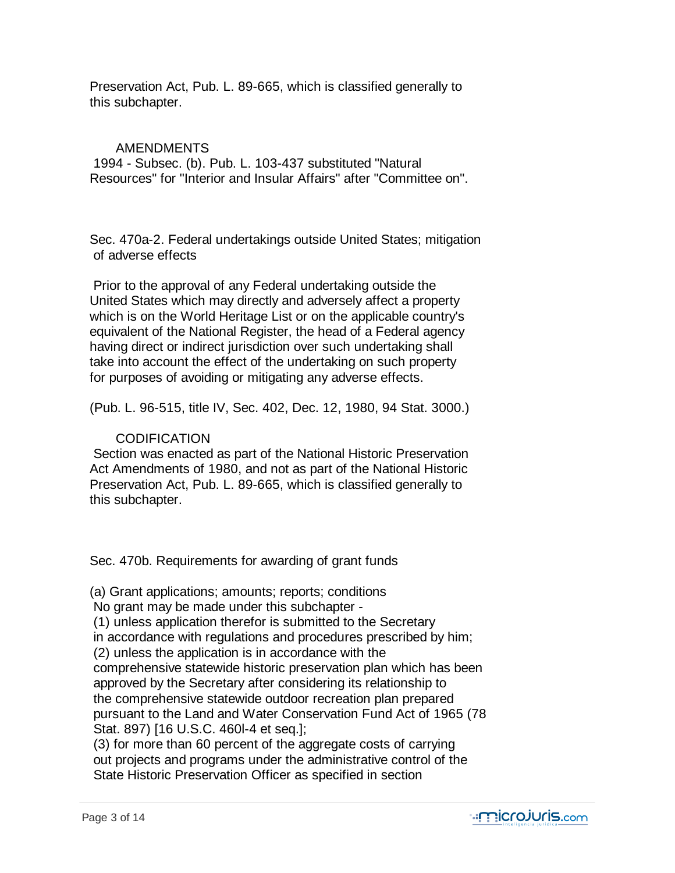Preservation Act, Pub. L. 89-665, which is classified generally to this subchapter.

# AMENDMENTS

 1994 - Subsec. (b). Pub. L. 103-437 substituted "Natural Resources" for "Interior and Insular Affairs" after "Committee on".

 Sec. 470a-2. Federal undertakings outside United States; mitigation of adverse effects

 Prior to the approval of any Federal undertaking outside the United States which may directly and adversely affect a property which is on the World Heritage List or on the applicable country's equivalent of the National Register, the head of a Federal agency having direct or indirect jurisdiction over such undertaking shall take into account the effect of the undertaking on such property for purposes of avoiding or mitigating any adverse effects.

(Pub. L. 96-515, title IV, Sec. 402, Dec. 12, 1980, 94 Stat. 3000.)

# CODIFICATION

 Section was enacted as part of the National Historic Preservation Act Amendments of 1980, and not as part of the National Historic Preservation Act, Pub. L. 89-665, which is classified generally to this subchapter.

Sec. 470b. Requirements for awarding of grant funds

 (a) Grant applications; amounts; reports; conditions No grant may be made under this subchapter - (1) unless application therefor is submitted to the Secretary in accordance with regulations and procedures prescribed by him; (2) unless the application is in accordance with the comprehensive statewide historic preservation plan which has been approved by the Secretary after considering its relationship to the comprehensive statewide outdoor recreation plan prepared pursuant to the Land and Water Conservation Fund Act of 1965 (78 Stat. 897) [16 U.S.C. 460l-4 et seq.];

 (3) for more than 60 percent of the aggregate costs of carrying out projects and programs under the administrative control of the State Historic Preservation Officer as specified in section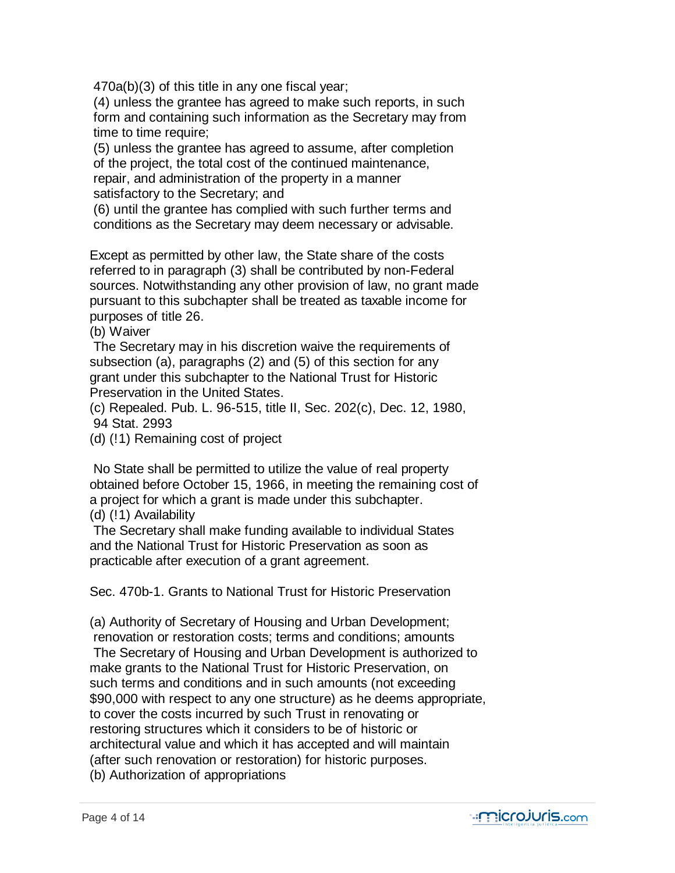470a(b)(3) of this title in any one fiscal year;

 (4) unless the grantee has agreed to make such reports, in such form and containing such information as the Secretary may from time to time require;

 (5) unless the grantee has agreed to assume, after completion of the project, the total cost of the continued maintenance, repair, and administration of the property in a manner satisfactory to the Secretary; and

 (6) until the grantee has complied with such further terms and conditions as the Secretary may deem necessary or advisable.

 Except as permitted by other law, the State share of the costs referred to in paragraph (3) shall be contributed by non-Federal sources. Notwithstanding any other provision of law, no grant made pursuant to this subchapter shall be treated as taxable income for purposes of title 26.

(b) Waiver

 The Secretary may in his discretion waive the requirements of subsection (a), paragraphs (2) and (5) of this section for any grant under this subchapter to the National Trust for Historic Preservation in the United States.

 (c) Repealed. Pub. L. 96-515, title II, Sec. 202(c), Dec. 12, 1980, 94 Stat. 2993

(d) (!1) Remaining cost of project

 No State shall be permitted to utilize the value of real property obtained before October 15, 1966, in meeting the remaining cost of a project for which a grant is made under this subchapter. (d) (!1) Availability

 The Secretary shall make funding available to individual States and the National Trust for Historic Preservation as soon as practicable after execution of a grant agreement.

Sec. 470b-1. Grants to National Trust for Historic Preservation

 (a) Authority of Secretary of Housing and Urban Development; renovation or restoration costs; terms and conditions; amounts The Secretary of Housing and Urban Development is authorized to make grants to the National Trust for Historic Preservation, on such terms and conditions and in such amounts (not exceeding \$90,000 with respect to any one structure) as he deems appropriate, to cover the costs incurred by such Trust in renovating or restoring structures which it considers to be of historic or architectural value and which it has accepted and will maintain (after such renovation or restoration) for historic purposes. (b) Authorization of appropriations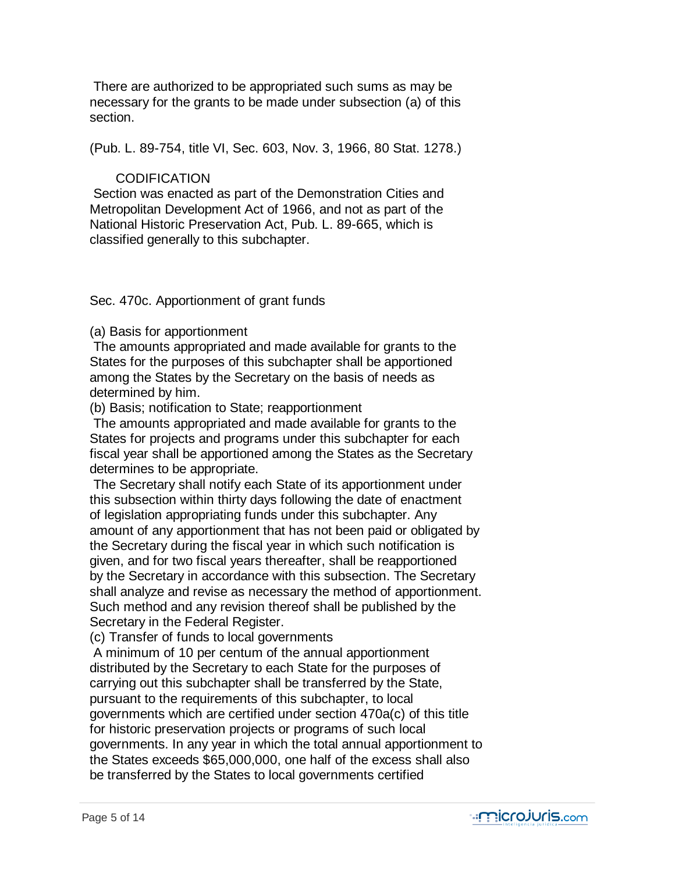There are authorized to be appropriated such sums as may be necessary for the grants to be made under subsection (a) of this section.

(Pub. L. 89-754, title VI, Sec. 603, Nov. 3, 1966, 80 Stat. 1278.)

# **CODIFICATION**

 Section was enacted as part of the Demonstration Cities and Metropolitan Development Act of 1966, and not as part of the National Historic Preservation Act, Pub. L. 89-665, which is classified generally to this subchapter.

Sec. 470c. Apportionment of grant funds

(a) Basis for apportionment

 The amounts appropriated and made available for grants to the States for the purposes of this subchapter shall be apportioned among the States by the Secretary on the basis of needs as determined by him.

(b) Basis; notification to State; reapportionment

 The amounts appropriated and made available for grants to the States for projects and programs under this subchapter for each fiscal year shall be apportioned among the States as the Secretary determines to be appropriate.

 The Secretary shall notify each State of its apportionment under this subsection within thirty days following the date of enactment of legislation appropriating funds under this subchapter. Any amount of any apportionment that has not been paid or obligated by the Secretary during the fiscal year in which such notification is given, and for two fiscal years thereafter, shall be reapportioned by the Secretary in accordance with this subsection. The Secretary shall analyze and revise as necessary the method of apportionment. Such method and any revision thereof shall be published by the Secretary in the Federal Register.

(c) Transfer of funds to local governments

 A minimum of 10 per centum of the annual apportionment distributed by the Secretary to each State for the purposes of carrying out this subchapter shall be transferred by the State, pursuant to the requirements of this subchapter, to local governments which are certified under section 470a(c) of this title for historic preservation projects or programs of such local governments. In any year in which the total annual apportionment to the States exceeds \$65,000,000, one half of the excess shall also be transferred by the States to local governments certified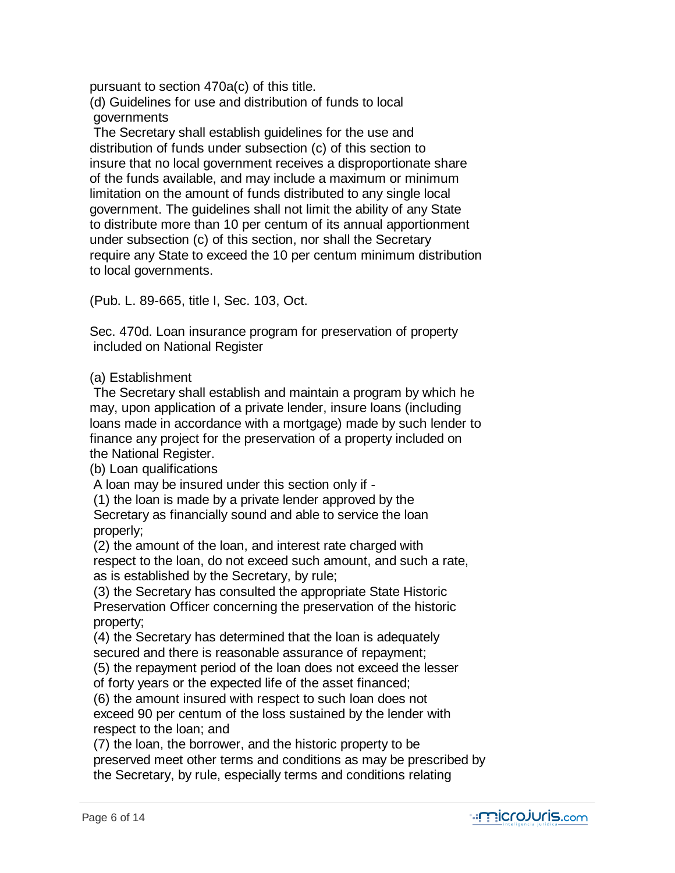pursuant to section 470a(c) of this title.

 (d) Guidelines for use and distribution of funds to local governments

 The Secretary shall establish guidelines for the use and distribution of funds under subsection (c) of this section to insure that no local government receives a disproportionate share of the funds available, and may include a maximum or minimum limitation on the amount of funds distributed to any single local government. The guidelines shall not limit the ability of any State to distribute more than 10 per centum of its annual apportionment under subsection (c) of this section, nor shall the Secretary require any State to exceed the 10 per centum minimum distribution to local governments.

(Pub. L. 89-665, title I, Sec. 103, Oct.

 Sec. 470d. Loan insurance program for preservation of property included on National Register

(a) Establishment

 The Secretary shall establish and maintain a program by which he may, upon application of a private lender, insure loans (including loans made in accordance with a mortgage) made by such lender to finance any project for the preservation of a property included on the National Register.

(b) Loan qualifications

A loan may be insured under this section only if -

 (1) the loan is made by a private lender approved by the Secretary as financially sound and able to service the loan properly;

 (2) the amount of the loan, and interest rate charged with respect to the loan, do not exceed such amount, and such a rate, as is established by the Secretary, by rule;

 (3) the Secretary has consulted the appropriate State Historic Preservation Officer concerning the preservation of the historic property;

 (4) the Secretary has determined that the loan is adequately secured and there is reasonable assurance of repayment;

 (5) the repayment period of the loan does not exceed the lesser of forty years or the expected life of the asset financed;

 (6) the amount insured with respect to such loan does not exceed 90 per centum of the loss sustained by the lender with respect to the loan; and

 (7) the loan, the borrower, and the historic property to be preserved meet other terms and conditions as may be prescribed by the Secretary, by rule, especially terms and conditions relating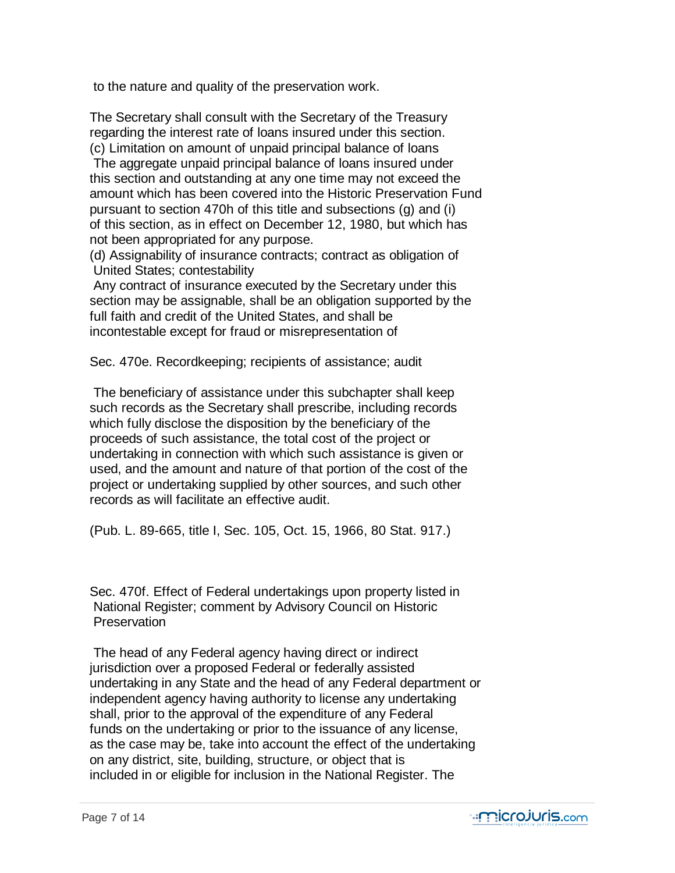to the nature and quality of the preservation work.

 The Secretary shall consult with the Secretary of the Treasury regarding the interest rate of loans insured under this section. (c) Limitation on amount of unpaid principal balance of loans

 The aggregate unpaid principal balance of loans insured under this section and outstanding at any one time may not exceed the amount which has been covered into the Historic Preservation Fund pursuant to section 470h of this title and subsections (g) and (i) of this section, as in effect on December 12, 1980, but which has not been appropriated for any purpose.

 (d) Assignability of insurance contracts; contract as obligation of United States; contestability

 Any contract of insurance executed by the Secretary under this section may be assignable, shall be an obligation supported by the full faith and credit of the United States, and shall be incontestable except for fraud or misrepresentation of

Sec. 470e. Recordkeeping; recipients of assistance; audit

 The beneficiary of assistance under this subchapter shall keep such records as the Secretary shall prescribe, including records which fully disclose the disposition by the beneficiary of the proceeds of such assistance, the total cost of the project or undertaking in connection with which such assistance is given or used, and the amount and nature of that portion of the cost of the project or undertaking supplied by other sources, and such other records as will facilitate an effective audit.

(Pub. L. 89-665, title I, Sec. 105, Oct. 15, 1966, 80 Stat. 917.)

 Sec. 470f. Effect of Federal undertakings upon property listed in National Register; comment by Advisory Council on Historic **Preservation** 

 The head of any Federal agency having direct or indirect jurisdiction over a proposed Federal or federally assisted undertaking in any State and the head of any Federal department or independent agency having authority to license any undertaking shall, prior to the approval of the expenditure of any Federal funds on the undertaking or prior to the issuance of any license, as the case may be, take into account the effect of the undertaking on any district, site, building, structure, or object that is included in or eligible for inclusion in the National Register. The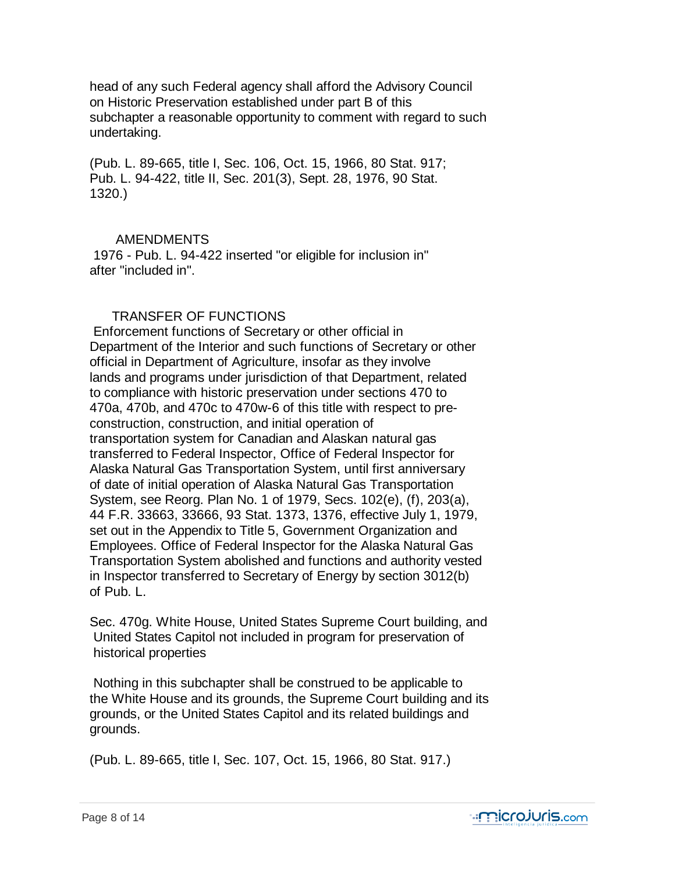head of any such Federal agency shall afford the Advisory Council on Historic Preservation established under part B of this subchapter a reasonable opportunity to comment with regard to such undertaking.

 (Pub. L. 89-665, title I, Sec. 106, Oct. 15, 1966, 80 Stat. 917; Pub. L. 94-422, title II, Sec. 201(3), Sept. 28, 1976, 90 Stat. 1320.)

#### AMENDMENTS

 1976 - Pub. L. 94-422 inserted "or eligible for inclusion in" after "included in".

# TRANSFER OF FUNCTIONS

 Enforcement functions of Secretary or other official in Department of the Interior and such functions of Secretary or other official in Department of Agriculture, insofar as they involve lands and programs under jurisdiction of that Department, related to compliance with historic preservation under sections 470 to 470a, 470b, and 470c to 470w-6 of this title with respect to pre construction, construction, and initial operation of transportation system for Canadian and Alaskan natural gas transferred to Federal Inspector, Office of Federal Inspector for Alaska Natural Gas Transportation System, until first anniversary of date of initial operation of Alaska Natural Gas Transportation System, see Reorg. Plan No. 1 of 1979, Secs. 102(e), (f), 203(a), 44 F.R. 33663, 33666, 93 Stat. 1373, 1376, effective July 1, 1979, set out in the Appendix to Title 5, Government Organization and Employees. Office of Federal Inspector for the Alaska Natural Gas Transportation System abolished and functions and authority vested in Inspector transferred to Secretary of Energy by section 3012(b) of Pub. L.

 Sec. 470g. White House, United States Supreme Court building, and United States Capitol not included in program for preservation of historical properties

 Nothing in this subchapter shall be construed to be applicable to the White House and its grounds, the Supreme Court building and its grounds, or the United States Capitol and its related buildings and grounds.

(Pub. L. 89-665, title I, Sec. 107, Oct. 15, 1966, 80 Stat. 917.)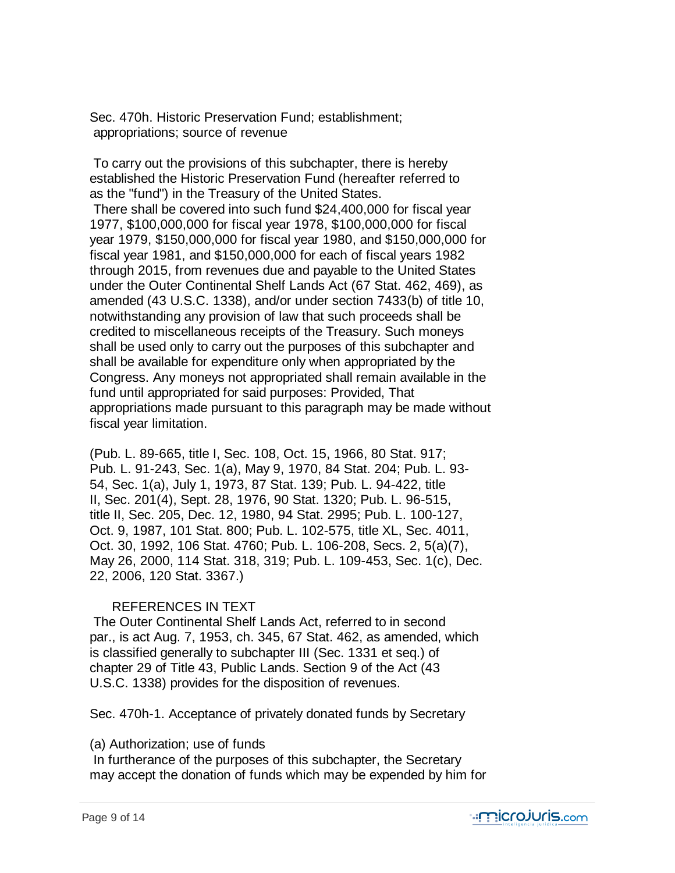Sec. 470h. Historic Preservation Fund; establishment; appropriations; source of revenue

 To carry out the provisions of this subchapter, there is hereby established the Historic Preservation Fund (hereafter referred to as the "fund") in the Treasury of the United States.

 There shall be covered into such fund \$24,400,000 for fiscal year 1977, \$100,000,000 for fiscal year 1978, \$100,000,000 for fiscal year 1979, \$150,000,000 for fiscal year 1980, and \$150,000,000 for fiscal year 1981, and \$150,000,000 for each of fiscal years 1982 through 2015, from revenues due and payable to the United States under the Outer Continental Shelf Lands Act (67 Stat. 462, 469), as amended (43 U.S.C. 1338), and/or under section 7433(b) of title 10, notwithstanding any provision of law that such proceeds shall be credited to miscellaneous receipts of the Treasury. Such moneys shall be used only to carry out the purposes of this subchapter and shall be available for expenditure only when appropriated by the Congress. Any moneys not appropriated shall remain available in the fund until appropriated for said purposes: Provided, That appropriations made pursuant to this paragraph may be made without fiscal year limitation.

 (Pub. L. 89-665, title I, Sec. 108, Oct. 15, 1966, 80 Stat. 917; Pub. L. 91-243, Sec. 1(a), May 9, 1970, 84 Stat. 204; Pub. L. 93- 54, Sec. 1(a), July 1, 1973, 87 Stat. 139; Pub. L. 94-422, title II, Sec. 201(4), Sept. 28, 1976, 90 Stat. 1320; Pub. L. 96-515, title II, Sec. 205, Dec. 12, 1980, 94 Stat. 2995; Pub. L. 100-127, Oct. 9, 1987, 101 Stat. 800; Pub. L. 102-575, title XL, Sec. 4011, Oct. 30, 1992, 106 Stat. 4760; Pub. L. 106-208, Secs. 2, 5(a)(7), May 26, 2000, 114 Stat. 318, 319; Pub. L. 109-453, Sec. 1(c), Dec. 22, 2006, 120 Stat. 3367.)

# REFERENCES IN TEXT

 The Outer Continental Shelf Lands Act, referred to in second par., is act Aug. 7, 1953, ch. 345, 67 Stat. 462, as amended, which is classified generally to subchapter III (Sec. 1331 et seq.) of chapter 29 of Title 43, Public Lands. Section 9 of the Act (43 U.S.C. 1338) provides for the disposition of revenues.

Sec. 470h-1. Acceptance of privately donated funds by Secretary

# (a) Authorization; use of funds

 In furtherance of the purposes of this subchapter, the Secretary may accept the donation of funds which may be expended by him for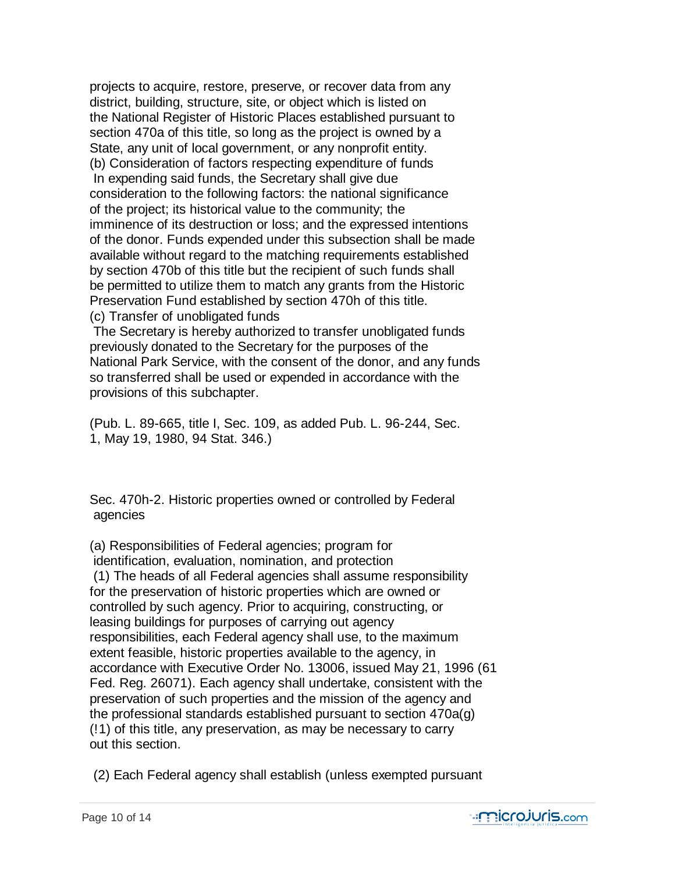projects to acquire, restore, preserve, or recover data from any district, building, structure, site, or object which is listed on the National Register of Historic Places established pursuant to section 470a of this title, so long as the project is owned by a State, any unit of local government, or any nonprofit entity. (b) Consideration of factors respecting expenditure of funds In expending said funds, the Secretary shall give due consideration to the following factors: the national significance of the project; its historical value to the community; the imminence of its destruction or loss; and the expressed intentions of the donor. Funds expended under this subsection shall be made available without regard to the matching requirements established by section 470b of this title but the recipient of such funds shall be permitted to utilize them to match any grants from the Historic Preservation Fund established by section 470h of this title. (c) Transfer of unobligated funds

 The Secretary is hereby authorized to transfer unobligated funds previously donated to the Secretary for the purposes of the National Park Service, with the consent of the donor, and any funds so transferred shall be used or expended in accordance with the provisions of this subchapter.

 (Pub. L. 89-665, title I, Sec. 109, as added Pub. L. 96-244, Sec. 1, May 19, 1980, 94 Stat. 346.)

 Sec. 470h-2. Historic properties owned or controlled by Federal agencies

 (a) Responsibilities of Federal agencies; program for identification, evaluation, nomination, and protection (1) The heads of all Federal agencies shall assume responsibility for the preservation of historic properties which are owned or controlled by such agency. Prior to acquiring, constructing, or leasing buildings for purposes of carrying out agency responsibilities, each Federal agency shall use, to the maximum extent feasible, historic properties available to the agency, in accordance with Executive Order No. 13006, issued May 21, 1996 (61 Fed. Reg. 26071). Each agency shall undertake, consistent with the preservation of such properties and the mission of the agency and the professional standards established pursuant to section 470a(g) (!1) of this title, any preservation, as may be necessary to carry out this section.

(2) Each Federal agency shall establish (unless exempted pursuant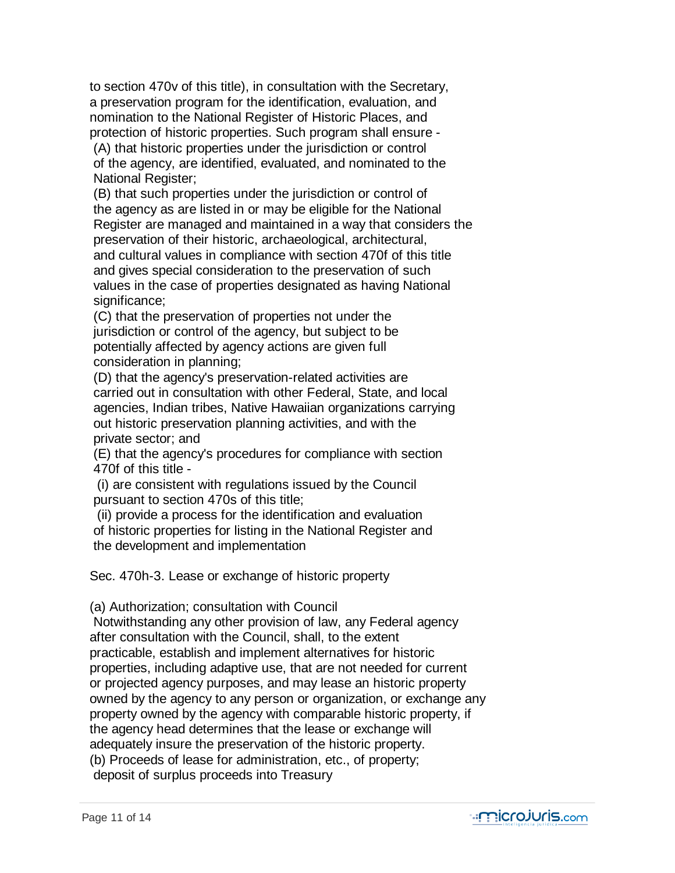to section 470v of this title), in consultation with the Secretary, a preservation program for the identification, evaluation, and nomination to the National Register of Historic Places, and protection of historic properties. Such program shall ensure - (A) that historic properties under the jurisdiction or control of the agency, are identified, evaluated, and nominated to the National Register;

 (B) that such properties under the jurisdiction or control of the agency as are listed in or may be eligible for the National Register are managed and maintained in a way that considers the preservation of their historic, archaeological, architectural, and cultural values in compliance with section 470f of this title and gives special consideration to the preservation of such values in the case of properties designated as having National significance;

 (C) that the preservation of properties not under the jurisdiction or control of the agency, but subject to be potentially affected by agency actions are given full consideration in planning;

 (D) that the agency's preservation-related activities are carried out in consultation with other Federal, State, and local agencies, Indian tribes, Native Hawaiian organizations carrying out historic preservation planning activities, and with the private sector; and

 (E) that the agency's procedures for compliance with section 470f of this title -

 (i) are consistent with regulations issued by the Council pursuant to section 470s of this title;

 (ii) provide a process for the identification and evaluation of historic properties for listing in the National Register and the development and implementation

Sec. 470h-3. Lease or exchange of historic property

(a) Authorization; consultation with Council

 Notwithstanding any other provision of law, any Federal agency after consultation with the Council, shall, to the extent practicable, establish and implement alternatives for historic properties, including adaptive use, that are not needed for current or projected agency purposes, and may lease an historic property owned by the agency to any person or organization, or exchange any property owned by the agency with comparable historic property, if the agency head determines that the lease or exchange will adequately insure the preservation of the historic property. (b) Proceeds of lease for administration, etc., of property; deposit of surplus proceeds into Treasury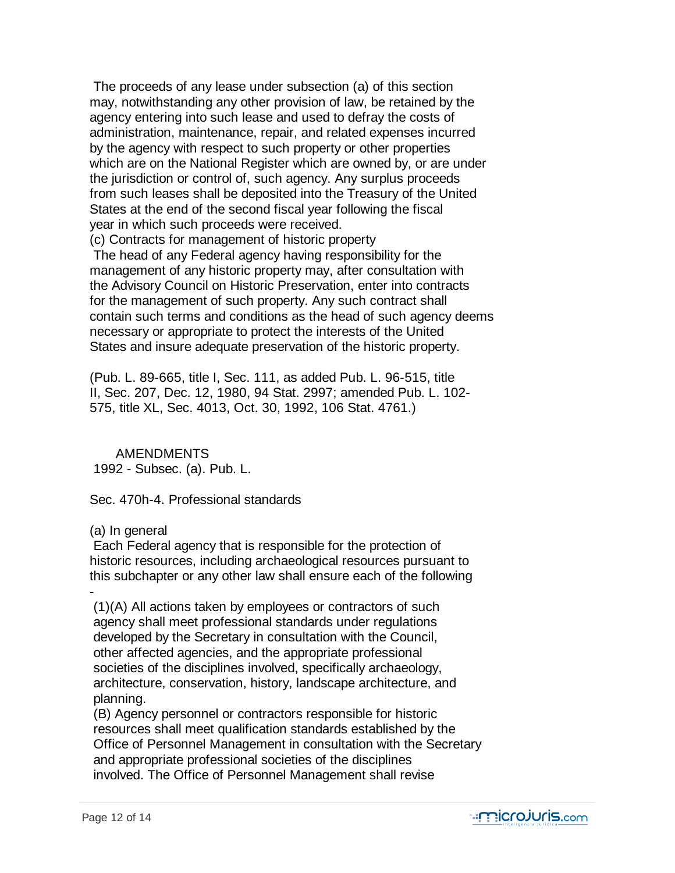The proceeds of any lease under subsection (a) of this section may, notwithstanding any other provision of law, be retained by the agency entering into such lease and used to defray the costs of administration, maintenance, repair, and related expenses incurred by the agency with respect to such property or other properties which are on the National Register which are owned by, or are under the jurisdiction or control of, such agency. Any surplus proceeds from such leases shall be deposited into the Treasury of the United States at the end of the second fiscal year following the fiscal year in which such proceeds were received.

(c) Contracts for management of historic property

 The head of any Federal agency having responsibility for the management of any historic property may, after consultation with the Advisory Council on Historic Preservation, enter into contracts for the management of such property. Any such contract shall contain such terms and conditions as the head of such agency deems necessary or appropriate to protect the interests of the United States and insure adequate preservation of the historic property.

 (Pub. L. 89-665, title I, Sec. 111, as added Pub. L. 96-515, title II, Sec. 207, Dec. 12, 1980, 94 Stat. 2997; amended Pub. L. 102- 575, title XL, Sec. 4013, Oct. 30, 1992, 106 Stat. 4761.)

**AMENDMENTS** 1992 - Subsec. (a). Pub. L.

Sec. 470h-4. Professional standards

(a) In general

 Each Federal agency that is responsible for the protection of historic resources, including archaeological resources pursuant to this subchapter or any other law shall ensure each of the following

 - (1)(A) All actions taken by employees or contractors of such agency shall meet professional standards under regulations developed by the Secretary in consultation with the Council, other affected agencies, and the appropriate professional societies of the disciplines involved, specifically archaeology, architecture, conservation, history, landscape architecture, and planning.

 (B) Agency personnel or contractors responsible for historic resources shall meet qualification standards established by the Office of Personnel Management in consultation with the Secretary and appropriate professional societies of the disciplines involved. The Office of Personnel Management shall revise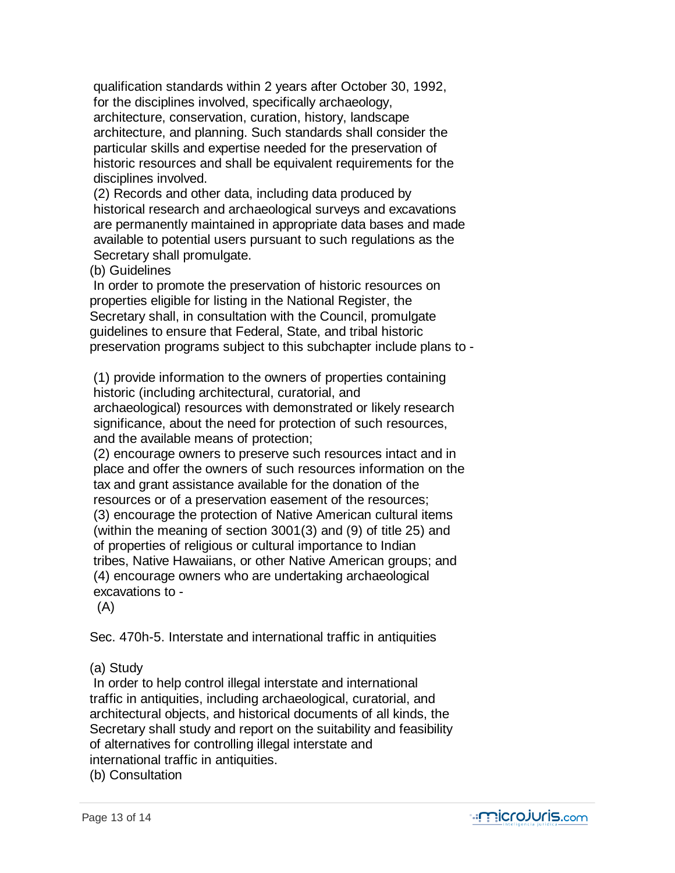qualification standards within 2 years after October 30, 1992, for the disciplines involved, specifically archaeology, architecture, conservation, curation, history, landscape architecture, and planning. Such standards shall consider the particular skills and expertise needed for the preservation of historic resources and shall be equivalent requirements for the disciplines involved.

 (2) Records and other data, including data produced by historical research and archaeological surveys and excavations are permanently maintained in appropriate data bases and made available to potential users pursuant to such regulations as the Secretary shall promulgate.

(b) Guidelines

 In order to promote the preservation of historic resources on properties eligible for listing in the National Register, the Secretary shall, in consultation with the Council, promulgate guidelines to ensure that Federal, State, and tribal historic preservation programs subject to this subchapter include plans to -

 (1) provide information to the owners of properties containing historic (including architectural, curatorial, and archaeological) resources with demonstrated or likely research significance, about the need for protection of such resources, and the available means of protection;

 (2) encourage owners to preserve such resources intact and in place and offer the owners of such resources information on the tax and grant assistance available for the donation of the resources or of a preservation easement of the resources; (3) encourage the protection of Native American cultural items (within the meaning of section 3001(3) and (9) of title 25) and of properties of religious or cultural importance to Indian tribes, Native Hawaiians, or other Native American groups; and (4) encourage owners who are undertaking archaeological excavations to -

(A)

Sec. 470h-5. Interstate and international traffic in antiquities

# (a) Study

 In order to help control illegal interstate and international traffic in antiquities, including archaeological, curatorial, and architectural objects, and historical documents of all kinds, the Secretary shall study and report on the suitability and feasibility of alternatives for controlling illegal interstate and international traffic in antiquities.

(b) Consultation